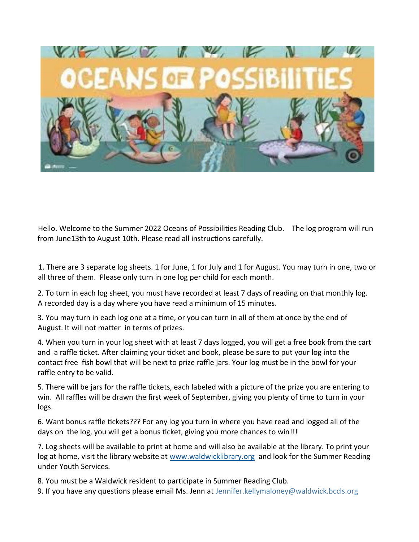

Hello. Welcome to the Summer 2022 Oceans of Possibilities Reading Club. The log program will run from June13th to August 10th. Please read all instructions carefully.

1. There are 3 separate log sheets. 1 for June, 1 for July and 1 for August. You may turn in one, two or all three of them. Please only turn in one log per child for each month.

2. To turn in each log sheet, you must have recorded at least 7 days of reading on that monthly log. A recorded day is a day where you have read a minimum of 15 minutes.

3. You may turn in each log one at a time, or you can turn in all of them at once by the end of August. It will not matter in terms of prizes.

4. When you turn in your log sheet with at least 7 days logged, you will get a free book from the cart and a raffle ticket. After claiming your ticket and book, please be sure to put your log into the contact free fish bowl that will be next to prize raffle jars. Your log must be in the bowl for your raffle entry to be valid.

5. There will be jars for the raffle tickets, each labeled with a picture of the prize you are entering to win. All raffles will be drawn the first week of September, giving you plenty of time to turn in your logs.

6. Want bonus raffle tickets??? For any log you turn in where you have read and logged all of the days on the log, you will get a bonus ticket, giving you more chances to win!!!

7. Log sheets will be available to print at home and will also be available at the library. To print your log at home, visit the library website at [www.waldwicklibrary.org](http://www.walwicklibrary.org) and look for the Summer Reading under Youth Services.

8. You must be a Waldwick resident to participate in Summer Reading Club.

9. If you have any questions please email Ms. Jenn at Jennifer.kellymaloney@waldwick.bccls.org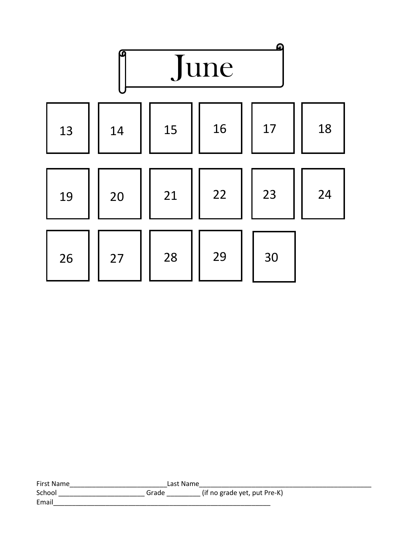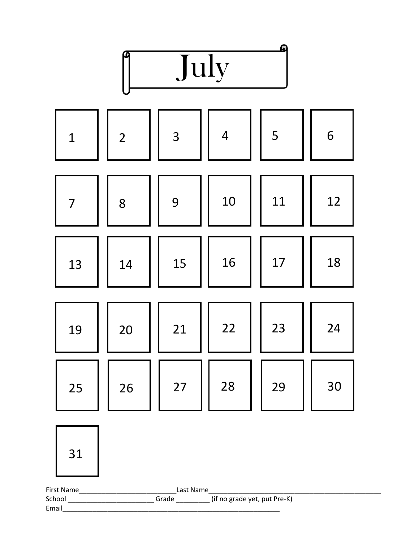